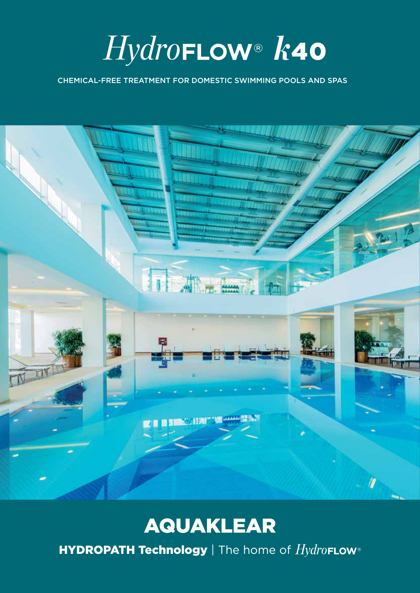HydroFLOW® k40

CHEMICAL-FREE TREATMENT FOR DOMESTIC SWIMMING POOLS AND SPAS



# **AQUAKLEAR**

**HYDROPATH Technology** | The home of  $Hydro$ FLOW®